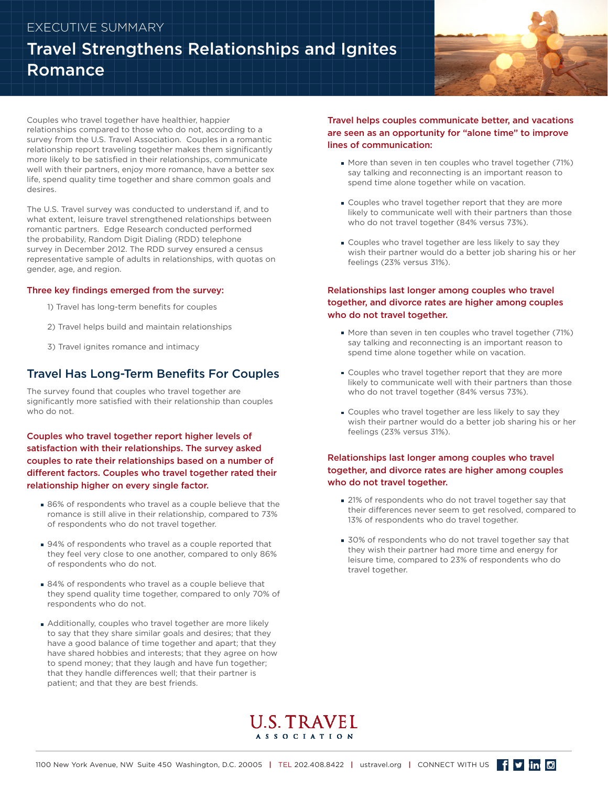## EXECUTIVE SUMMARY

# Travel Strengthens Relationships and Ignites Romance



Couples who travel together have healthier, happier relationships compared to those who do not, according to a survey from the U.S. Travel Association. Couples in a romantic relationship report traveling together makes them significantly more likely to be satisfied in their relationships, communicate well with their partners, enjoy more romance, have a better sex life, spend quality time together and share common goals and desires.

The U.S. Travel survey was conducted to understand if, and to what extent, leisure travel strengthened relationships between romantic partners. Edge Research conducted performed the probability, Random Digit Dialing (RDD) telephone survey in December 2012. The RDD survey ensured a census representative sample of adults in relationships, with quotas on gender, age, and region.

#### Three key findings emerged from the survey:

- 1) Travel has long-term benefits for couples
- 2) Travel helps build and maintain relationships
- 3) Travel ignites romance and intimacy

## Travel Has Long-Term Benefits For Couples

The survey found that couples who travel together are significantly more satisfied with their relationship than couples who do not.

### Couples who travel together report higher levels of satisfaction with their relationships. The survey asked couples to rate their relationships based on a number of different factors. Couples who travel together rated their relationship higher on every single factor.

- 86% of respondents who travel as a couple believe that the romance is still alive in their relationship, compared to 73% of respondents who do not travel together.
- 94% of respondents who travel as a couple reported that they feel very close to one another, compared to only 86% of respondents who do not.
- **84% of respondents who travel as a couple believe that** they spend quality time together, compared to only 70% of respondents who do not.
- Additionally, couples who travel together are more likely to say that they share similar goals and desires; that they have a good balance of time together and apart; that they have shared hobbies and interests; that they agree on how to spend money; that they laugh and have fun together; that they handle differences well; that their partner is patient; and that they are best friends.

#### Travel helps couples communicate better, and vacations are seen as an opportunity for "alone time" to improve lines of communication:

- More than seven in ten couples who travel together (71%) say talking and reconnecting is an important reason to spend time alone together while on vacation.
- Couples who travel together report that they are more likely to communicate well with their partners than those who do not travel together (84% versus 73%).
- Couples who travel together are less likely to say they wish their partner would do a better job sharing his or her feelings (23% versus 31%).

### Relationships last longer among couples who travel together, and divorce rates are higher among couples who do not travel together.

- More than seven in ten couples who travel together (71%) say talking and reconnecting is an important reason to spend time alone together while on vacation.
- Couples who travel together report that they are more likely to communicate well with their partners than those who do not travel together (84% versus 73%).
- Couples who travel together are less likely to say they wish their partner would do a better job sharing his or her feelings (23% versus 31%).

#### Relationships last longer among couples who travel together, and divorce rates are higher among couples who do not travel together.

- 21% of respondents who do not travel together say that their differences never seem to get resolved, compared to 13% of respondents who do travel together.
- **30%** of respondents who do not travel together say that they wish their partner had more time and energy for leisure time, compared to 23% of respondents who do travel together.

## **U.S. TRAVEL ASSOCIATION**